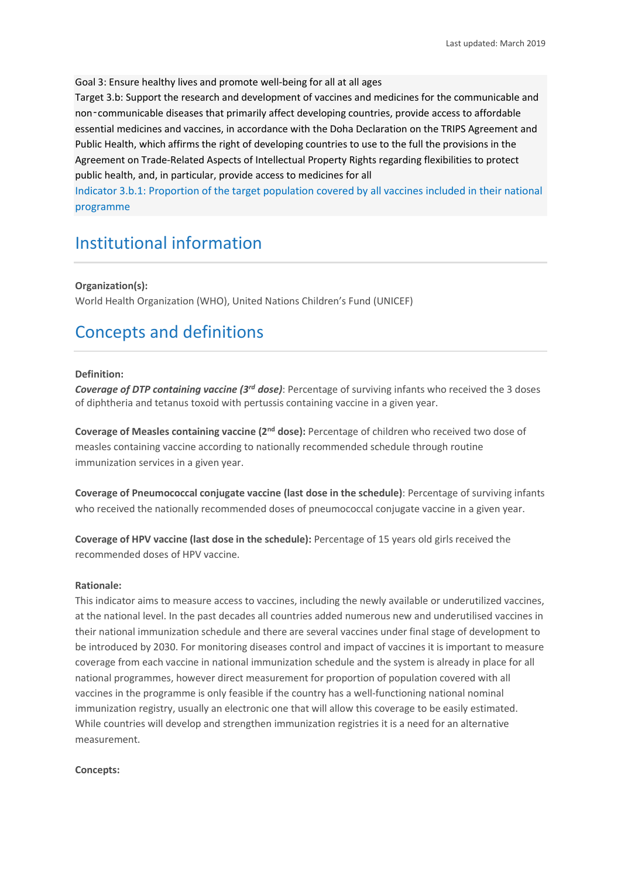Goal 3: Ensure healthy lives and promote well-being for all at all ages

Target 3.b: Support the research and development of vaccines and medicines for the communicable and non‑communicable diseases that primarily affect developing countries, provide access to affordable essential medicines and vaccines, in accordance with the Doha Declaration on the TRIPS Agreement and Public Health, which affirms the right of developing countries to use to the full the provisions in the Agreement on Trade-Related Aspects of Intellectual Property Rights regarding flexibilities to protect public health, and, in particular, provide access to medicines for all

Indicator 3.b.1: Proportion of the target population covered by all vaccines included in their national programme

# Institutional information

**Organization(s):**

World Health Organization (WHO), United Nations Children's Fund (UNICEF)

## Concepts and definitions

#### **Definition:**

*Coverage of DTP containing vaccine (3rd dose)*: Percentage of surviving infants who received the 3 doses of diphtheria and tetanus toxoid with pertussis containing vaccine in a given year.

**Coverage of Measles containing vaccine (2nd dose):** Percentage of children who received two dose of measles containing vaccine according to nationally recommended schedule through routine immunization services in a given year.

**Coverage of Pneumococcal conjugate vaccine (last dose in the schedule)**: Percentage of surviving infants who received the nationally recommended doses of pneumococcal conjugate vaccine in a given year.

**Coverage of HPV vaccine (last dose in the schedule):** Percentage of 15 years old girls received the recommended doses of HPV vaccine.

#### **Rationale:**

This indicator aims to measure access to vaccines, including the newly available or underutilized vaccines, at the national level. In the past decades all countries added numerous new and underutilised vaccines in their national immunization schedule and there are several vaccines under final stage of development to be introduced by 2030. For monitoring diseases control and impact of vaccines it is important to measure coverage from each vaccine in national immunization schedule and the system is already in place for all national programmes, however direct measurement for proportion of population covered with all vaccines in the programme is only feasible if the country has a well-functioning national nominal immunization registry, usually an electronic one that will allow this coverage to be easily estimated. While countries will develop and strengthen immunization registries it is a need for an alternative measurement.

#### **Concepts:**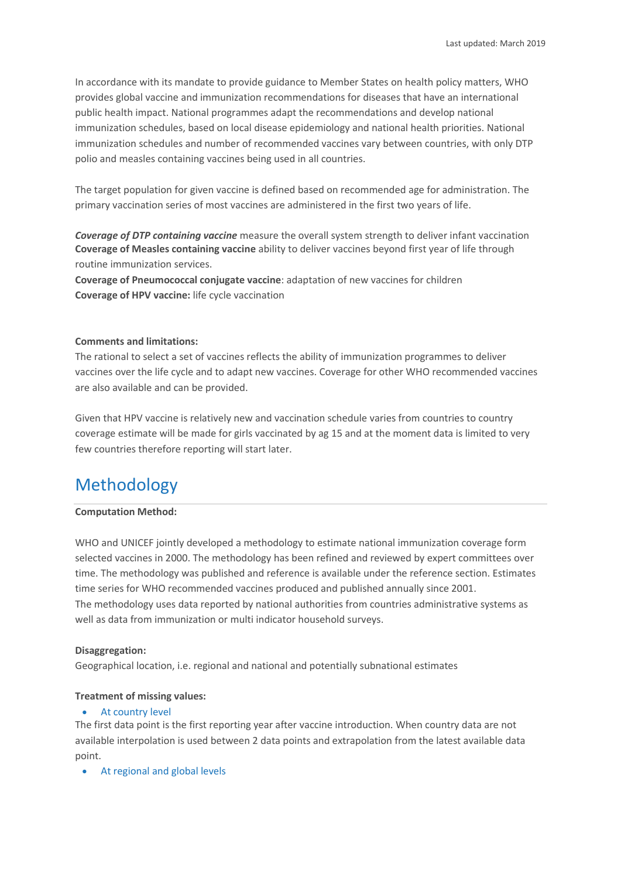In accordance with its mandate to provide guidance to Member States on health policy matters, WHO provides global vaccine and immunization recommendations for diseases that have an international public health impact. National programmes adapt the recommendations and develop national immunization schedules, based on local disease epidemiology and national health priorities. National immunization schedules and number of recommended vaccines vary between countries, with only DTP polio and measles containing vaccines being used in all countries.

The target population for given vaccine is defined based on recommended age for administration. The primary vaccination series of most vaccines are administered in the first two years of life.

*Coverage of DTP containing vaccine* measure the overall system strength to deliver infant vaccination **Coverage of Measles containing vaccine** ability to deliver vaccines beyond first year of life through routine immunization services.

**Coverage of Pneumococcal conjugate vaccine**: adaptation of new vaccines for children **Coverage of HPV vaccine:** life cycle vaccination

#### **Comments and limitations:**

The rational to select a set of vaccines reflects the ability of immunization programmes to deliver vaccines over the life cycle and to adapt new vaccines. Coverage for other WHO recommended vaccines are also available and can be provided.

Given that HPV vaccine is relatively new and vaccination schedule varies from countries to country coverage estimate will be made for girls vaccinated by ag 15 and at the moment data is limited to very few countries therefore reporting will start later.

## Methodology

#### **Computation Method:**

WHO and UNICEF jointly developed a methodology to estimate national immunization coverage form selected vaccines in 2000. The methodology has been refined and reviewed by expert committees over time. The methodology was published and reference is available under the reference section. Estimates time series for WHO recommended vaccines produced and published annually since 2001. The methodology uses data reported by national authorities from countries administrative systems as well as data from immunization or multi indicator household surveys.

#### **Disaggregation:**

Geographical location, i.e. regional and national and potentially subnational estimates

#### **Treatment of missing values:**

#### • At country level

The first data point is the first reporting year after vaccine introduction. When country data are not available interpolation is used between 2 data points and extrapolation from the latest available data point.

• At regional and global levels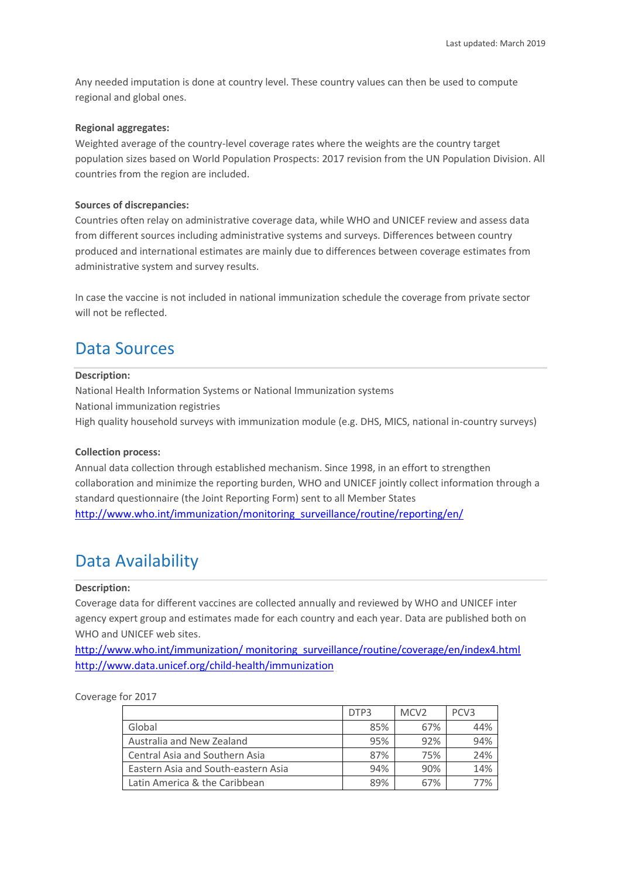Any needed imputation is done at country level. These country values can then be used to compute regional and global ones.

#### **Regional aggregates:**

Weighted average of the country-level coverage rates where the weights are the country target population sizes based on World Population Prospects: 2017 revision from the UN Population Division. All countries from the region are included.

#### **Sources of discrepancies:**

Countries often relay on administrative coverage data, while WHO and UNICEF review and assess data from different sources including administrative systems and surveys. Differences between country produced and international estimates are mainly due to differences between coverage estimates from administrative system and survey results.

In case the vaccine is not included in national immunization schedule the coverage from private sector will not be reflected.

### Data Sources

#### **Description:**

National Health Information Systems or National Immunization systems National immunization registries High quality household surveys with immunization module (e.g. DHS, MICS, national in-country surveys)

#### **Collection process:**

Annual data collection through established mechanism. Since 1998, in an effort to strengthen collaboration and minimize the reporting burden, WHO and UNICEF jointly collect information through a standard questionnaire (the Joint Reporting Form) sent to all Member States [http://www.who.int/immunization/monitoring\\_surveillance/routine/reporting/en/](http://www.who.int/immunization/monitoring_surveillance/routine/reporting/en/)

### Data Availability

#### **Description:**

Coverage data for different vaccines are collected annually and reviewed by WHO and UNICEF inter agency expert group and estimates made for each country and each year. Data are published both on WHO and UNICFF web sites.

[http://www.who.int/immunization/ monitoring\\_surveillance/routine/coverage/en/index4.html](http://www.who.int/immunization/%20monitoring_surveillance/routine/coverage/en/index4.html) <http://www.data.unicef.org/child-health/immunization>

#### Coverage for 2017

|                                       | DTP3 | MCV <sub>2</sub> | PCV <sub>3</sub> |
|---------------------------------------|------|------------------|------------------|
| Global                                | 85%  | 67%              | 44%              |
| Australia and New Zealand             | 95%  | 92%              | 94%              |
| <b>Central Asia and Southern Asia</b> | 87%  | 75%              | 24%              |
| Eastern Asia and South-eastern Asia   | 94%  | 90%              | 14%              |
| Latin America & the Caribbean         | 89%  | 67%              | 77%              |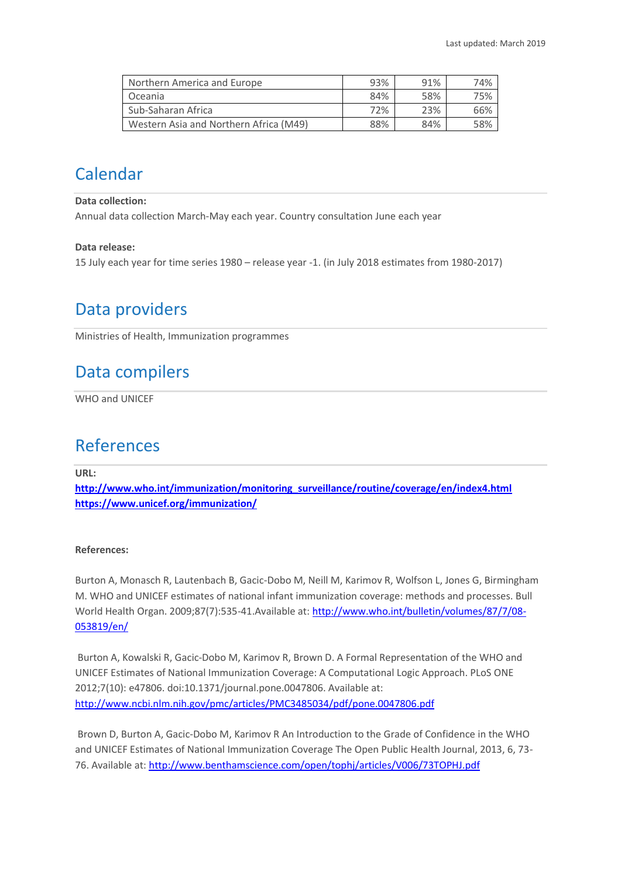| Northern America and Europe            | 93% | 91% | 74% |
|----------------------------------------|-----|-----|-----|
| Oceania                                | 84% | 58% | 75% |
| Sub-Saharan Africa                     | 72% | 23% | 66% |
| Western Asia and Northern Africa (M49) | 88% | 84% | 58% |

# Calendar

**Data collection:**

Annual data collection March-May each year. Country consultation June each year

#### **Data release:**

15 July each year for time series 1980 – release year -1. (in July 2018 estimates from 1980-2017)

## Data providers

Ministries of Health, Immunization programmes

## Data compilers

WHO and UNICEF

### References

**URL:**

**[http://www.who.int/immunization/monitoring\\_surveillance/routine/coverage/en/index4.html](http://www.who.int/immunization/monitoring_surveillance/routine/coverage/en/index4.html) <https://www.unicef.org/immunization/>**

#### **References:**

Burton A, Monasch R, Lautenbach B, Gacic-Dobo M, Neill M, Karimov R, Wolfson L, Jones G, Birmingham M. WHO and UNICEF estimates of national infant immunization coverage: methods and processes. Bull World Health Organ. 2009;87(7):535-41.Available at: [http://www.who.int/bulletin/volumes/87/7/08-](http://www.who.int/bulletin/volumes/87/7/08-053819/en/) [053819/en/](http://www.who.int/bulletin/volumes/87/7/08-053819/en/)

Burton A, Kowalski R, Gacic-Dobo M, Karimov R, Brown D. A Formal Representation of the WHO and UNICEF Estimates of National Immunization Coverage: A Computational Logic Approach. PLoS ONE 2012;7(10): e47806. doi:10.1371/journal.pone.0047806. Available at: <http://www.ncbi.nlm.nih.gov/pmc/articles/PMC3485034/pdf/pone.0047806.pdf>

Brown D, Burton A, Gacic-Dobo M, Karimov R An Introduction to the Grade of Confidence in the WHO and UNICEF Estimates of National Immunization Coverage The Open Public Health Journal, 2013, 6, 73- 76. Available at[: http://www.benthamscience.com/open/tophj/articles/V006/73TOPHJ.pdf](http://www.benthamscience.com/open/tophj/articles/V006/73TOPHJ.pdf)